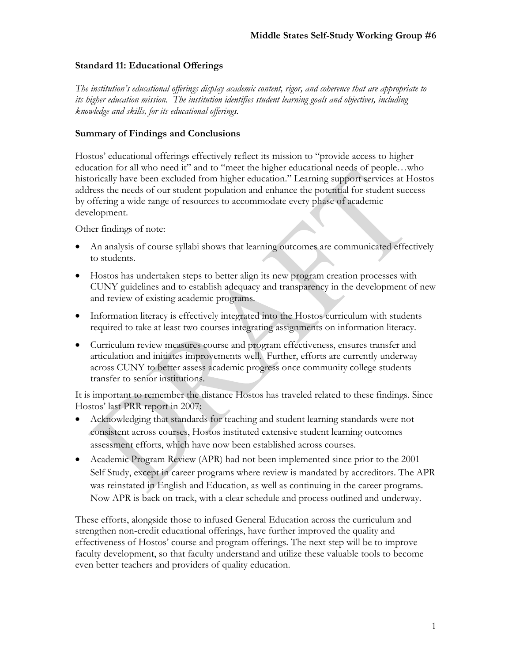#### **Standard 11: Educational Offerings**

*The institution's educational offerings display academic content, rigor, and coherence that are appropriate to its higher education mission. The institution identifies student learning goals and objectives, including knowledge and skills, for its educational offerings.* 

#### **Summary of Findings and Conclusions**

Hostos' educational offerings effectively reflect its mission to "provide access to higher education for all who need it" and to "meet the higher educational needs of people…who historically have been excluded from higher education." Learning support services at Hostos address the needs of our student population and enhance the potential for student success by offering a wide range of resources to accommodate every phase of academic development.

Other findings of note:

- An analysis of course syllabi shows that learning outcomes are communicated effectively to students.
- Hostos has undertaken steps to better align its new program creation processes with CUNY guidelines and to establish adequacy and transparency in the development of new and review of existing academic programs.
- Information literacy is effectively integrated into the Hostos curriculum with students required to take at least two courses integrating assignments on information literacy.
- Curriculum review measures course and program effectiveness, ensures transfer and articulation and initiates improvements well. Further, efforts are currently underway across CUNY to better assess academic progress once community college students transfer to senior institutions.

It is important to remember the distance Hostos has traveled related to these findings. Since Hostos' last PRR report in 2007:

- Acknowledging that standards for teaching and student learning standards were not consistent across courses, Hostos instituted extensive student learning outcomes assessment efforts, which have now been established across courses.
- Academic Program Review (APR) had not been implemented since prior to the 2001 Self Study, except in career programs where review is mandated by accreditors. The APR was reinstated in English and Education, as well as continuing in the career programs. Now APR is back on track, with a clear schedule and process outlined and underway.

These efforts, alongside those to infused General Education across the curriculum and strengthen non-credit educational offerings, have further improved the quality and effectiveness of Hostos' course and program offerings. The next step will be to improve faculty development, so that faculty understand and utilize these valuable tools to become even better teachers and providers of quality education.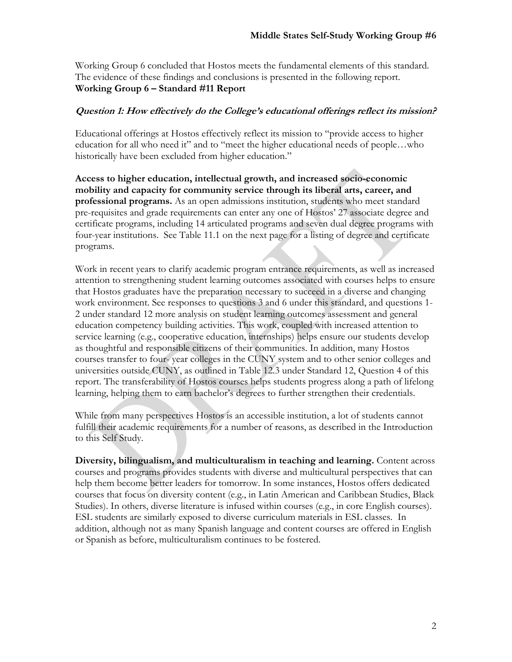Working Group 6 concluded that Hostos meets the fundamental elements of this standard. The evidence of these findings and conclusions is presented in the following report. **Working Group 6 – Standard #11 Report** 

#### **Question 1: How effectively do the College's educational offerings reflect its mission?**

Educational offerings at Hostos effectively reflect its mission to "provide access to higher education for all who need it" and to "meet the higher educational needs of people…who historically have been excluded from higher education."

**Access to higher education, intellectual growth, and increased socio-economic mobility and capacity for community service through its liberal arts, career, and professional programs.** As an open admissions institution, students who meet standard pre-requisites and grade requirements can enter any one of Hostos' 27 associate degree and certificate programs, including 14 articulated programs and seven dual degree programs with four-year institutions. See Table 11.1 on the next page for a listing of degree and certificate programs.

Work in recent years to clarify academic program entrance requirements, as well as increased attention to strengthening student learning outcomes associated with courses helps to ensure that Hostos graduates have the preparation necessary to succeed in a diverse and changing work environment. See responses to questions 3 and 6 under this standard, and questions 1- 2 under standard 12 more analysis on student learning outcomes assessment and general education competency building activities. This work, coupled with increased attention to service learning (e.g., cooperative education, internships) helps ensure our students develop as thoughtful and responsible citizens of their communities. In addition, many Hostos courses transfer to four- year colleges in the CUNY system and to other senior colleges and universities outside CUNY, as outlined in Table 12.3 under Standard 12, Question 4 of this report. The transferability of Hostos courses helps students progress along a path of lifelong learning, helping them to earn bachelor's degrees to further strengthen their credentials.

While from many perspectives Hostos is an accessible institution, a lot of students cannot fulfill their academic requirements for a number of reasons, as described in the Introduction to this Self Study.

**Diversity, bilingualism, and multiculturalism in teaching and learning.** Content across courses and programs provides students with diverse and multicultural perspectives that can help them become better leaders for tomorrow. In some instances, Hostos offers dedicated courses that focus on diversity content (e.g., in Latin American and Caribbean Studies, Black Studies). In others, diverse literature is infused within courses (e.g., in core English courses). ESL students are similarly exposed to diverse curriculum materials in ESL classes. In addition, although not as many Spanish language and content courses are offered in English or Spanish as before, multiculturalism continues to be fostered.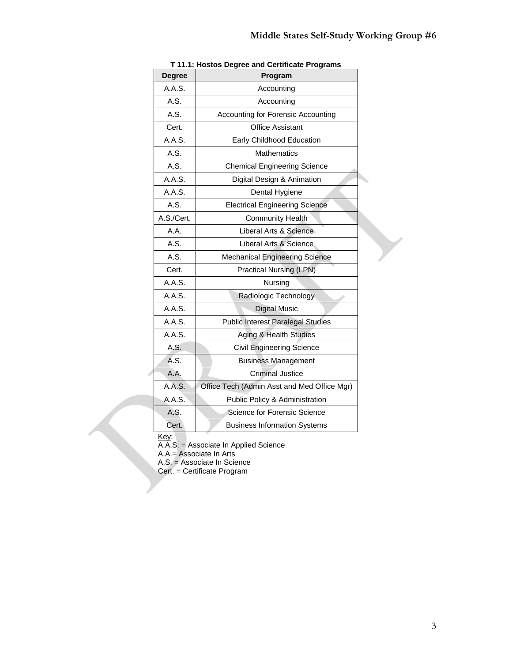| <b>Degree</b> | Program                                     |
|---------------|---------------------------------------------|
| A.A.S.        | Accounting                                  |
| A.S.          | Accounting                                  |
| A.S.          | Accounting for Forensic Accounting          |
| Cert.         | <b>Office Assistant</b>                     |
| A.A.S.        | Early Childhood Education                   |
| A.S.          | <b>Mathematics</b>                          |
| A.S.          | <b>Chemical Engineering Science</b>         |
| A.A.S.        | Digital Design & Animation                  |
| A.A.S.        | Dental Hygiene                              |
| A.S.          | <b>Electrical Engineering Science</b>       |
| A.S./Cert.    | <b>Community Health</b>                     |
| A.A.          | Liberal Arts & Science                      |
| A.S.          | Liberal Arts & Science                      |
| A.S.          | <b>Mechanical Engineering Science</b>       |
| Cert.         | Practical Nursing (LPN)                     |
| A.A.S.        | Nursing                                     |
| A.A.S.        | Radiologic Technology                       |
| A.A.S.        | <b>Digital Music</b>                        |
| A.A.S.        | <b>Public Interest Paralegal Studies</b>    |
| A.A.S.        | Aging & Health Studies                      |
| A.S.          | <b>Civil Engineering Science</b>            |
| A.S.          | <b>Business Management</b>                  |
| A.A.          | <b>Criminal Justice</b>                     |
| A.A.S.        | Office Tech (Admin Asst and Med Office Mgr) |
| A.A.S.        | Public Policy & Administration              |
| A.S.          | Science for Forensic Science                |
| Cert.         | <b>Business Information Systems</b>         |

#### **T 11.1: Hostos Degree and Certificate Programs**

Key:

A.A.S. = Associate In Applied Science

A.A.= Associate In Arts

A.S. = Associate In Science

Cert. = Certificate Program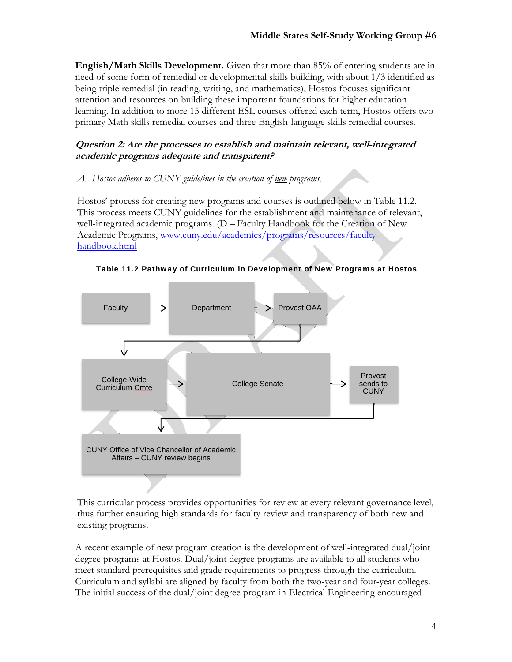**English/Math Skills Development.** Given that more than 85% of entering students are in need of some form of remedial or developmental skills building, with about 1/3 identified as being triple remedial (in reading, writing, and mathematics), Hostos focuses significant attention and resources on building these important foundations for higher education learning. In addition to more 15 different ESL courses offered each term, Hostos offers two primary Math skills remedial courses and three English-language skills remedial courses.

# **Question 2: Are the processes to establish and maintain relevant, well-integrated academic programs adequate and transparent?**

## *A. Hostos adheres to CUNY guidelines in the creation of new programs.*

Hostos' process for creating new programs and courses is outlined below in Table 11.2. This process meets CUNY guidelines for the establishment and maintenance of relevant, well-integrated academic programs. (D – Faculty Handbook for the Creation of New Academic Programs, www.cuny.edu/academics/programs/resources/facultyhandbook.html



Table 11.2 Pathway of Curriculum in Development of New Programs at Hostos

This curricular process provides opportunities for review at every relevant governance level, thus further ensuring high standards for faculty review and transparency of both new and existing programs.

A recent example of new program creation is the development of well-integrated dual/joint degree programs at Hostos. Dual/joint degree programs are available to all students who meet standard prerequisites and grade requirements to progress through the curriculum. Curriculum and syllabi are aligned by faculty from both the two-year and four-year colleges. The initial success of the dual/joint degree program in Electrical Engineering encouraged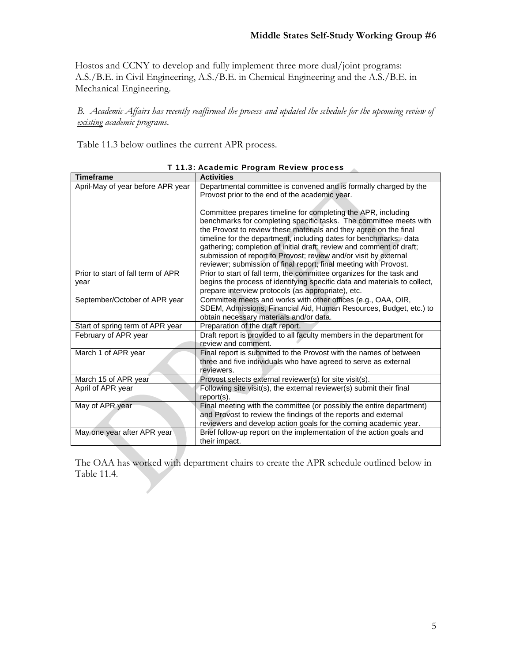Hostos and CCNY to develop and fully implement three more dual/joint programs: A.S./B.E. in Civil Engineering, A.S./B.E. in Chemical Engineering and the A.S./B.E. in Mechanical Engineering.

*B. Academic Affairs has recently reaffirmed the process and updated the schedule for the upcoming review of existing academic programs.* 

Table 11.3 below outlines the current APR process.

| <b>Timeframe</b>                           | <b>Activities</b>                                                                                                                                                                                                                                                                                                                                                                                                         |
|--------------------------------------------|---------------------------------------------------------------------------------------------------------------------------------------------------------------------------------------------------------------------------------------------------------------------------------------------------------------------------------------------------------------------------------------------------------------------------|
| April-May of year before APR year          | Departmental committee is convened and is formally charged by the<br>Provost prior to the end of the academic year.                                                                                                                                                                                                                                                                                                       |
|                                            | Committee prepares timeline for completing the APR, including<br>benchmarks for completing specific tasks. The committee meets with<br>the Provost to review these materials and they agree on the final<br>timeline for the department, including dates for benchmarks: data<br>gathering; completion of initial draft; review and comment of draft;<br>submission of report to Provost; review and/or visit by external |
|                                            | reviewer; submission of final report; final meeting with Provost.                                                                                                                                                                                                                                                                                                                                                         |
| Prior to start of fall term of APR<br>year | Prior to start of fall term, the committee organizes for the task and<br>begins the process of identifying specific data and materials to collect,<br>prepare interview protocols (as appropriate), etc.                                                                                                                                                                                                                  |
| September/October of APR year              | Committee meets and works with other offices (e.g., OAA, OIR,<br>SDEM, Admissions, Financial Aid, Human Resources, Budget, etc.) to<br>obtain necessary materials and/or data.                                                                                                                                                                                                                                            |
| Start of spring term of APR year           | Preparation of the draft report.                                                                                                                                                                                                                                                                                                                                                                                          |
| February of APR year                       | Draft report is provided to all faculty members in the department for<br>review and comment.                                                                                                                                                                                                                                                                                                                              |
| March 1 of APR year                        | Final report is submitted to the Provost with the names of between<br>three and five individuals who have agreed to serve as external<br>reviewers.                                                                                                                                                                                                                                                                       |
| March 15 of APR year                       | Provost selects external reviewer(s) for site visit(s).                                                                                                                                                                                                                                                                                                                                                                   |
| April of APR year                          | Following site visit(s), the external reviewer(s) submit their final<br>report(s).                                                                                                                                                                                                                                                                                                                                        |
| May of APR year                            | Final meeting with the committee (or possibly the entire department)<br>and Provost to review the findings of the reports and external<br>reviewers and develop action goals for the coming academic year.                                                                                                                                                                                                                |
| May one year after APR year                | Brief follow-up report on the implementation of the action goals and<br>their impact.                                                                                                                                                                                                                                                                                                                                     |

T 11.3: Academic Program Review process

The OAA has worked with department chairs to create the APR schedule outlined below in Table 11.4.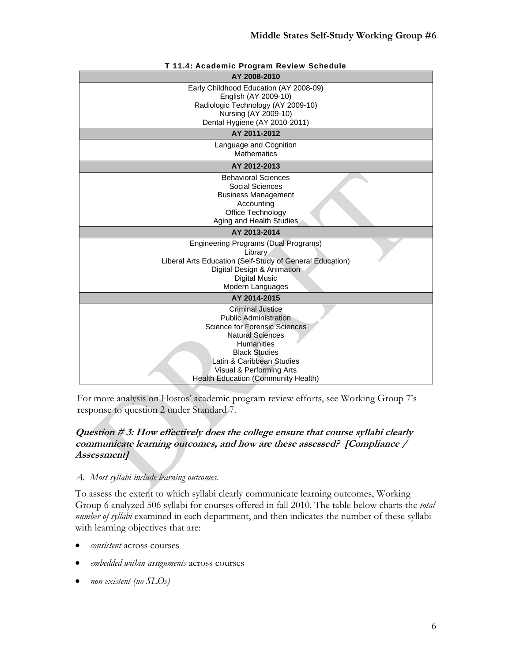| T 11.4: Academic Program Review Schedule                                                                                                                                                                                                                                |  |  |  |  |
|-------------------------------------------------------------------------------------------------------------------------------------------------------------------------------------------------------------------------------------------------------------------------|--|--|--|--|
| AY 2008-2010                                                                                                                                                                                                                                                            |  |  |  |  |
| Early Childhood Education (AY 2008-09)<br>English (AY 2009-10)<br>Radiologic Technology (AY 2009-10)<br>Nursing (AY 2009-10)<br>Dental Hygiene (AY 2010-2011)                                                                                                           |  |  |  |  |
| AY 2011-2012                                                                                                                                                                                                                                                            |  |  |  |  |
| Language and Cognition<br><b>Mathematics</b>                                                                                                                                                                                                                            |  |  |  |  |
| AY 2012-2013                                                                                                                                                                                                                                                            |  |  |  |  |
| <b>Behavioral Sciences</b><br>Social Sciences<br><b>Business Management</b><br>Accounting<br>Office Technology<br>Aging and Health Studies                                                                                                                              |  |  |  |  |
| AY 2013-2014                                                                                                                                                                                                                                                            |  |  |  |  |
| Engineering Programs (Dual Programs)<br>Library<br>Liberal Arts Education (Self-Study of General Education)<br>Digital Design & Animation<br><b>Digital Music</b><br>Modern Languages                                                                                   |  |  |  |  |
| AY 2014-2015                                                                                                                                                                                                                                                            |  |  |  |  |
| <b>Criminal Justice</b><br><b>Public Administration</b><br><b>Science for Forensic Sciences</b><br><b>Natural Sciences</b><br><b>Humanities</b><br><b>Black Studies</b><br>Latin & Caribbean Studies<br>Visual & Performing Arts<br>Health Education (Community Health) |  |  |  |  |

For more analysis on Hostos' academic program review efforts, see Working Group 7's response to question 2 under Standard 7.

# **Question # 3: How effectively does the college ensure that course syllabi clearly communicate learning outcomes, and how are these assessed? [Compliance / Assessment]**

### *A. Most syllabi include learning outcomes.*

To assess the extent to which syllabi clearly communicate learning outcomes, Working Group 6 analyzed 506 syllabi for courses offered in fall 2010. The table below charts the *total number of syllabi* examined in each department, and then indicates the number of these syllabi with learning objectives that are:

- *consistent* across courses
- *embedded within assignments* across courses
- *non-existent (no SLOs)*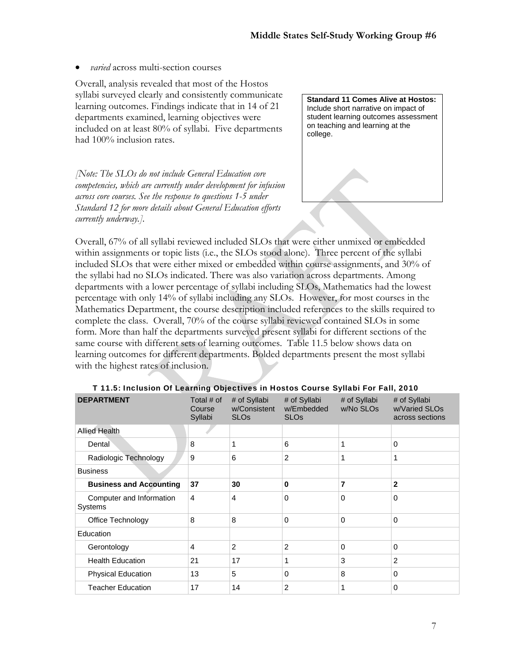*varied* across multi-section courses

Overall, analysis revealed that most of the Hostos syllabi surveyed clearly and consistently communicate learning outcomes. Findings indicate that in 14 of 21 departments examined, learning objectives were included on at least 80% of syllabi. Five departments had 100% inclusion rates.

*[Note: The SLOs do not include General Education core competencies, which are currently under development for infusion across core courses. See the response to questions 1-5 under Standard 12 for more details about General Education efforts currently underway.].* 

**Standard 11 Comes Alive at Hostos:**  Include short narrative on impact of student learning outcomes assessment on teaching and learning at the college.

Overall, 67% of all syllabi reviewed included SLOs that were either unmixed or embedded within assignments or topic lists (i.e., the SLOs stood alone). Three percent of the syllabi included SLOs that were either mixed or embedded within course assignments, and 30% of the syllabi had no SLOs indicated. There was also variation across departments. Among departments with a lower percentage of syllabi including SLOs, Mathematics had the lowest percentage with only 14% of syllabi including any SLOs. However, for most courses in the Mathematics Department, the course description included references to the skills required to complete the class. Overall, 70% of the course syllabi reviewed contained SLOs in some form. More than half the departments surveyed present syllabi for different sections of the same course with different sets of learning outcomes. Table 11.5 below shows data on learning outcomes for different departments. Bolded departments present the most syllabi with the highest rates of inclusion.

| <b>DEPARTMENT</b>                   | Total $#$ of<br>Course<br>Syllabi | # of Syllabi<br>w/Consistent<br><b>SLO<sub>s</sub></b> | # of Syllabi<br>w/Embedded<br><b>SLO<sub>s</sub></b> | # of Syllabi<br>w/No SLOs | # of Syllabi<br>w/Varied SLOs<br>across sections |
|-------------------------------------|-----------------------------------|--------------------------------------------------------|------------------------------------------------------|---------------------------|--------------------------------------------------|
| <b>Allied Health</b>                |                                   |                                                        |                                                      |                           |                                                  |
| Dental                              | 8                                 | 1                                                      | 6                                                    | 1                         | 0                                                |
| Radiologic Technology               | 9                                 | 6                                                      | 2                                                    | 1                         | 1                                                |
| <b>Business</b>                     |                                   |                                                        |                                                      |                           |                                                  |
| <b>Business and Accounting</b>      | 37                                | 30                                                     | 0                                                    | 7                         | $\mathbf{2}$                                     |
| Computer and Information<br>Systems | $\overline{4}$                    | 4                                                      | $\Omega$                                             | 0                         | 0                                                |
| Office Technology                   | 8                                 | 8                                                      | 0                                                    | 0                         | 0                                                |
| Education                           |                                   |                                                        |                                                      |                           |                                                  |
| Gerontology                         | 4                                 | $\overline{2}$                                         | 2                                                    | 0                         | 0                                                |
| <b>Health Education</b>             | 21                                | 17                                                     | 1                                                    | 3                         | $\overline{2}$                                   |
| <b>Physical Education</b>           | 13                                | 5                                                      | 0                                                    | 8                         | 0                                                |
| <b>Teacher Education</b>            | 17                                | 14                                                     | $\overline{2}$                                       | 1                         | 0                                                |

#### T 11.5: Inclusion Of Learning Objectives in Hostos Course Syllabi For Fall, 2010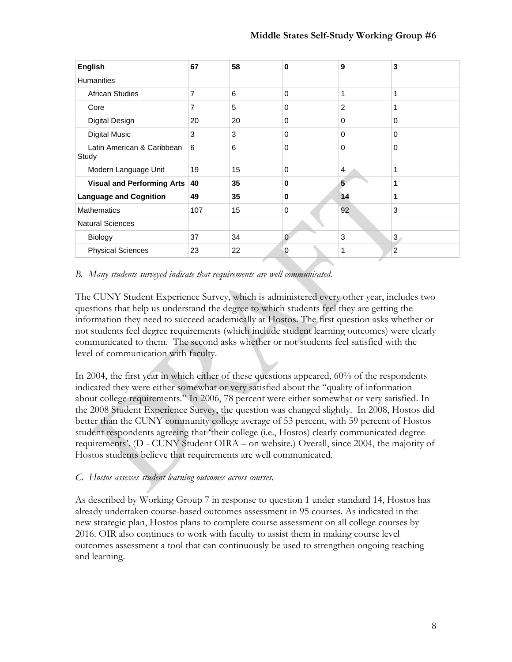| <b>English</b>                      | 67  | 58 | 0        | 9              | 3        |
|-------------------------------------|-----|----|----------|----------------|----------|
| <b>Humanities</b>                   |     |    |          |                |          |
| <b>African Studies</b>              | 7   | 6  | 0        | 1              | 1        |
| Core                                | 7   | 5  | 0        | $\overline{2}$ | 1        |
| <b>Digital Design</b>               | 20  | 20 | 0        | 0              | $\Omega$ |
| <b>Digital Music</b>                | 3   | 3  | 0        | 0              | $\Omega$ |
| Latin American & Caribbean<br>Study | 6   | 6  | 0        | 0              | $\Omega$ |
| Modern Language Unit                | 19  | 15 | 0        | 4              | 1        |
| <b>Visual and Performing Arts</b>   | 40  | 35 | $\bf{0}$ | 5              | 1        |
| <b>Language and Cognition</b>       | 49  | 35 | 0        | 14             | 1        |
| <b>Mathematics</b>                  | 107 | 15 | $\Omega$ | 92             | 3        |
| <b>Natural Sciences</b>             |     |    |          |                |          |
| Biology                             | 37  | 34 | $\Omega$ | 3              | 3        |
| <b>Physical Sciences</b>            | 23  | 22 | 0        | 1              | 2        |

#### *B. Many students surveyed indicate that requirements are well communicated.*

The CUNY Student Experience Survey, which is administered every other year, includes two questions that help us understand the degree to which students feel they are getting the information they need to succeed academically at Hostos. The first question asks whether or not students feel degree requirements (which include student learning outcomes) were clearly communicated to them. The second asks whether or not students feel satisfied with the level of communication with faculty.

In 2004, the first year in which either of these questions appeared, 60% of the respondents indicated they were either somewhat or very satisfied about the "quality of information about college requirements." In 2006, 78 percent were either somewhat or very satisfied. In the 2008 Student Experience Survey, the question was changed slightly. In 2008, Hostos did better than the CUNY community college average of 53 percent, with 59 percent of Hostos student respondents agreeing that 'their college (i.e., Hostos) clearly communicated degree requirements'. (D - CUNY Student OIRA – on website.) Overall, since 2004, the majority of Hostos students believe that requirements are well communicated.

### *C. Hostos assesses student learning outcomes across courses.*

As described by Working Group 7 in response to question 1 under standard 14, Hostos has already undertaken course-based outcomes assessment in 95 courses. As indicated in the new strategic plan, Hostos plans to complete course assessment on all college courses by 2016. OIR also continues to work with faculty to assist them in making course level outcomes assessment a tool that can continuously be used to strengthen ongoing teaching and learning.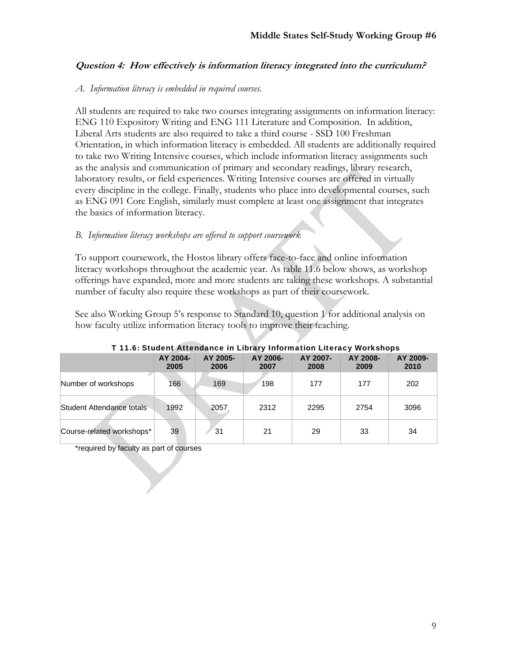### **Question 4: How effectively is information literacy integrated into the curriculum?**

#### *A. Information literacy is embedded in required courses.*

All students are required to take two courses integrating assignments on information literacy: ENG 110 Expository Writing and ENG 111 Literature and Composition. In addition, Liberal Arts students are also required to take a third course - SSD 100 Freshman Orientation, in which information literacy is embedded. All students are additionally required to take two Writing Intensive courses, which include information literacy assignments such as the analysis and communication of primary and secondary readings, library research, laboratory results, or field experiences. Writing Intensive courses are offered in virtually every discipline in the college. Finally, students who place into developmental courses, such as ENG 091 Core English, similarly must complete at least one assignment that integrates the basics of information literacy.

### *B. Information literacy workshops are offered to support coursework*

To support coursework, the Hostos library offers face-to-face and online information literacy workshops throughout the academic year. As table 11.6 below shows, as workshop offerings have expanded, more and more students are taking these workshops. A substantial number of faculty also require these workshops as part of their coursework.

See also Working Group 5's response to Standard 10, question 1 for additional analysis on how faculty utilize information literacy tools to improve their teaching.

| $\blacksquare$ branch Anchaelice in Eibrer , information Enclusy workshops |                  |                  |                  |                  |                  |                  |
|----------------------------------------------------------------------------|------------------|------------------|------------------|------------------|------------------|------------------|
|                                                                            | AY 2004-<br>2005 | AY 2005-<br>2006 | AY 2006-<br>2007 | AY 2007-<br>2008 | AY 2008-<br>2009 | AY 2009-<br>2010 |
| Number of workshops                                                        | 166              | 169              | 198              | 177              | 177              | 202              |
| Student Attendance totals                                                  | 1992             | 2057             | 2312             | 2295             | 2754             | 3096             |
| Course-related workshops*                                                  | 39               | 31               | 21               | 29               | 33               | 34               |

#### T 11.6: Student Attendance in Library Information Literacy Workshops

\*required by faculty as part of courses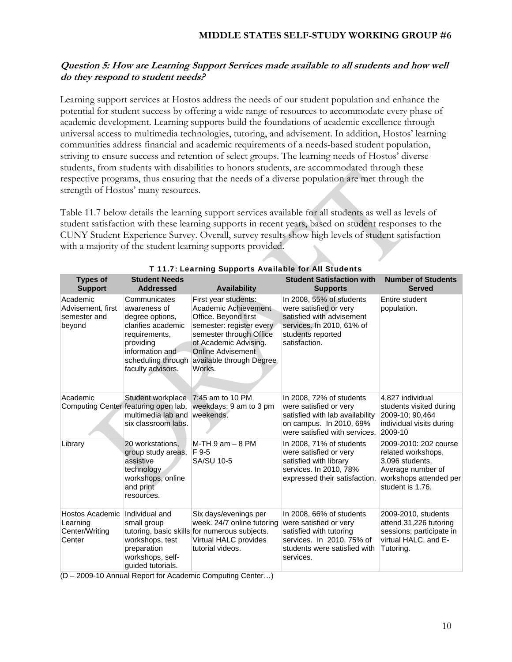### **Question 5: How are Learning Support Services made available to all students and how well do they respond to student needs?**

Learning support services at Hostos address the needs of our student population and enhance the potential for student success by offering a wide range of resources to accommodate every phase of academic development. Learning supports build the foundations of academic excellence through universal access to multimedia technologies, tutoring, and advisement. In addition, Hostos' learning communities address financial and academic requirements of a needs-based student population, striving to ensure success and retention of select groups. The learning needs of Hostos' diverse students, from students with disabilities to honors students, are accommodated through these respective programs, thus ensuring that the needs of a diverse population are met through the strength of Hostos' many resources.

Table 11.7 below details the learning support services available for all students as well as levels of student satisfaction with these learning supports in recent years, based on student responses to the CUNY Student Experience Survey. Overall, survey results show high levels of student satisfaction with a majority of the student learning supports provided.

| <b>Types of</b>                                         | <b>Student Needs</b>                                                                                                                                              |                                                                                                                                                                                                                        | <b>Student Satisfaction with</b>                                                                                                                        | <b>Number of Students</b>                                                                                                         |
|---------------------------------------------------------|-------------------------------------------------------------------------------------------------------------------------------------------------------------------|------------------------------------------------------------------------------------------------------------------------------------------------------------------------------------------------------------------------|---------------------------------------------------------------------------------------------------------------------------------------------------------|-----------------------------------------------------------------------------------------------------------------------------------|
| <b>Support</b>                                          | <b>Addressed</b>                                                                                                                                                  | <b>Availability</b>                                                                                                                                                                                                    | <b>Supports</b>                                                                                                                                         | <b>Served</b>                                                                                                                     |
| Academic<br>Advisement, first<br>semester and<br>beyond | Communicates<br>awareness of<br>degree options,<br>clarifies academic<br>requirements,<br>providing<br>information and<br>scheduling through<br>faculty advisors. | First year students:<br>Academic Achievement<br>Office. Beyond first<br>semester: register every<br>semester through Office<br>of Academic Advising.<br><b>Online Advisement</b><br>available through Degree<br>Works. | In 2008, 55% of students<br>were satisfied or very<br>satisfied with advisement<br>services. In 2010, 61% of<br>students reported<br>satisfaction.      | Entire student<br>population.                                                                                                     |
| Academic                                                | Student workplace 7:45 am to 10 PM<br>Computing Center featuring open lab,<br>multimedia lab and<br>six classroom labs.                                           | weekdays; 9 am to 3 pm<br>weekends.                                                                                                                                                                                    | In 2008, 72% of students<br>were satisfied or very<br>satisfied with lab availability<br>on campus. In 2010, 69%<br>were satisfied with services.       | 4.827 individual<br>students visited during<br>2009-10; 90,464<br>individual visits during<br>2009-10                             |
| Library                                                 | 20 workstations,<br>group study areas,<br>assistive<br>technology<br>workshops, online<br>and print<br>resources.                                                 | $M-TH$ 9 am $-$ 8 PM<br>F 9-5<br><b>SA/SU 10-5</b>                                                                                                                                                                     | In 2008, 71% of students<br>were satisfied or very<br>satisfied with library<br>services. In 2010, 78%<br>expressed their satisfaction.                 | 2009-2010: 202 course<br>related workshops,<br>3,096 students.<br>Average number of<br>workshops attended per<br>student is 1.76. |
| Hostos Academic<br>Learning<br>Center/Writing<br>Center | Individual and<br>small group<br>workshops, test<br>preparation<br>workshops, self-<br>guided tutorials.                                                          | Six days/evenings per<br>week. 24/7 online tutoring<br>tutoring, basic skills for numerous subjects.<br>Virtual HALC provides<br>tutorial videos.                                                                      | In 2008, 66% of students<br>were satisfied or very<br>satisfied with tutoring<br>services. In 2010, 75% of<br>students were satisfied with<br>services. | 2009-2010, students<br>attend 31,226 tutoring<br>sessions; participate in<br>virtual HALC, and E-<br>Tutoring.                    |

#### T 11.7: Learning Supports Available for All Students

(D – 2009-10 Annual Report for Academic Computing Center…)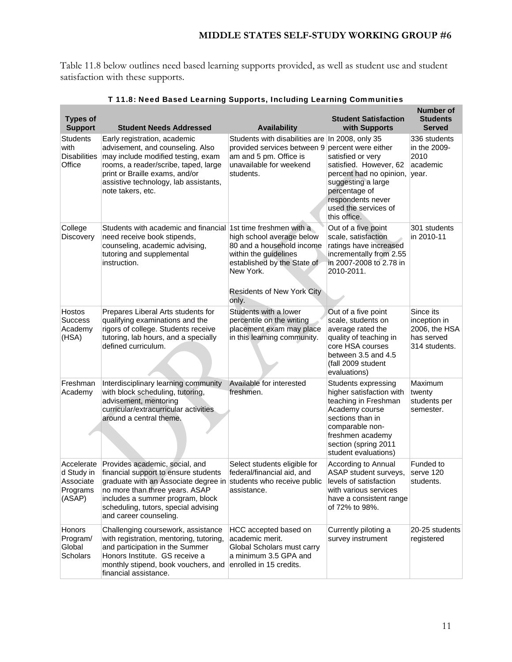Table 11.8 below outlines need based learning supports provided, as well as student use and student satisfaction with these supports.

| <b>Types of</b><br><b>Support</b>                           | <b>Student Needs Addressed</b>                                                                                                                                                                                                                                                     | <b>Availability</b>                                                                                                                                                | <b>Student Satisfaction</b><br>with Supports                                                                                                                                                                                | <b>Number of</b><br><b>Students</b><br><b>Served</b>                      |
|-------------------------------------------------------------|------------------------------------------------------------------------------------------------------------------------------------------------------------------------------------------------------------------------------------------------------------------------------------|--------------------------------------------------------------------------------------------------------------------------------------------------------------------|-----------------------------------------------------------------------------------------------------------------------------------------------------------------------------------------------------------------------------|---------------------------------------------------------------------------|
| <b>Students</b><br>with<br><b>Disabilities</b><br>Office    | Early registration, academic<br>advisement, and counseling. Also<br>may include modified testing, exam<br>rooms, a reader/scribe, taped, large<br>print or Braille exams, and/or<br>assistive technology, lab assistants,<br>note takers, etc.                                     | Students with disabilities are<br>provided services between 9<br>am and 5 pm. Office is<br>unavailable for weekend<br>students.                                    | In 2008, only 35<br>percent were either<br>satisfied or very<br>satisfied. However, 62<br>percent had no opinion, year.<br>suggesting a large<br>percentage of<br>respondents never<br>used the services of<br>this office. | 336 students<br>in the 2009-<br>2010<br>academic                          |
| College<br><b>Discovery</b>                                 | Students with academic and financial 1st time freshmen with a<br>need receive book stipends,<br>counseling, academic advising,<br>tutoring and supplemental<br>instruction.                                                                                                        | high school average below<br>80 and a household income<br>within the guidelines<br>established by the State of<br>New York.<br>Residents of New York City<br>only. | Out of a five point<br>scale, satisfaction<br>ratings have increased<br>incrementally from 2.55<br>in 2007-2008 to 2.78 in<br>2010-2011.                                                                                    | 301 students<br>in 2010-11                                                |
| Hostos<br><b>Success</b><br>Academy<br>(HSA)                | Prepares Liberal Arts students for<br>qualifying examinations and the<br>rigors of college. Students receive<br>tutoring, lab hours, and a specially<br>defined curriculum.                                                                                                        | Students with a lower<br>percentile on the writing<br>placement exam may place<br>in this learning community.                                                      | Out of a five point<br>scale, students on<br>average rated the<br>quality of teaching in<br>core HSA courses<br>between 3.5 and 4.5<br>(fall 2009 student<br>evaluations)                                                   | Since its<br>inception in<br>2006, the HSA<br>has served<br>314 students. |
| Freshman<br>Academy                                         | Interdisciplinary learning community<br>with block scheduling, tutoring,<br>advisement, mentoring<br>curricular/extracurricular activities<br>around a central theme.                                                                                                              | Available for interested<br>freshmen.                                                                                                                              | Students expressing<br>higher satisfaction with<br>teaching in Freshman<br>Academy course<br>sections than in<br>comparable non-<br>freshmen academy<br>section (spring 2011<br>student evaluations)                        | Maximum<br>twenty<br>students per<br>semester.                            |
| Accelerate<br>d Study in<br>Associate<br>Programs<br>(ASAP) | Provides academic, social, and<br>financial support to ensure students<br>graduate with an Associate degree in students who receive public<br>no more than three years. ASAP<br>includes a summer program, block<br>scheduling, tutors, special advising<br>and career counseling. | Select students eligible for<br>federal/financial aid, and<br>assistance.                                                                                          | According to Annual<br>ASAP student surveys,<br>levels of satisfaction<br>with various services<br>have a consistent range<br>of 72% to 98%.                                                                                | Funded to<br>serve 120<br>students.                                       |
| Honors<br>Program/<br>Global<br>Scholars                    | Challenging coursework, assistance<br>with registration, mentoring, tutoring,<br>and participation in the Summer<br>Honors Institute. GS receive a<br>monthly stipend, book vouchers, and<br>financial assistance.                                                                 | HCC accepted based on<br>academic merit.<br>Global Scholars must carry<br>a minimum 3.5 GPA and<br>enrolled in 15 credits.                                         | Currently piloting a<br>survey instrument                                                                                                                                                                                   | 20-25 students<br>registered                                              |

### T 11.8: Need Based Learning Supports, Including Learning Communities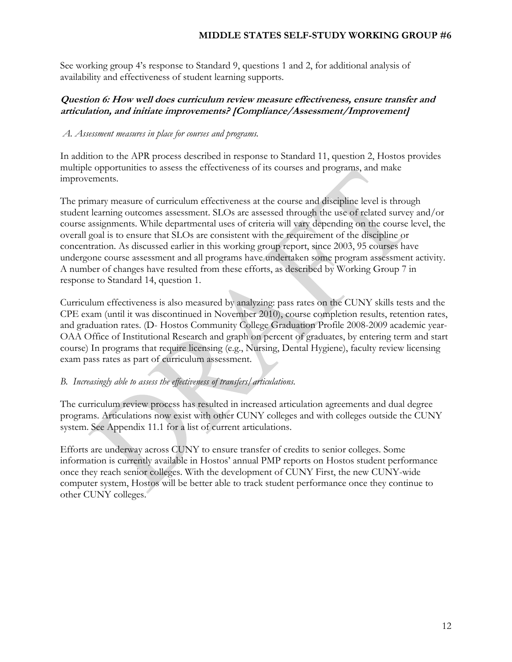See working group 4's response to Standard 9, questions 1 and 2, for additional analysis of availability and effectiveness of student learning supports.

### **Question 6: How well does curriculum review measure effectiveness, ensure transfer and articulation, and initiate improvements? [Compliance/Assessment/Improvement]**

### *A. Assessment measures in place for courses and programs.*

In addition to the APR process described in response to Standard 11, question 2, Hostos provides multiple opportunities to assess the effectiveness of its courses and programs, and make improvements.

The primary measure of curriculum effectiveness at the course and discipline level is through student learning outcomes assessment. SLOs are assessed through the use of related survey and/or course assignments. While departmental uses of criteria will vary depending on the course level, the overall goal is to ensure that SLOs are consistent with the requirement of the discipline or concentration. As discussed earlier in this working group report, since 2003, 95 courses have undergone course assessment and all programs have undertaken some program assessment activity. A number of changes have resulted from these efforts, as described by Working Group 7 in response to Standard 14, question 1.

Curriculum effectiveness is also measured by analyzing: pass rates on the CUNY skills tests and the CPE exam (until it was discontinued in November 2010), course completion results, retention rates, and graduation rates. (D- Hostos Community College Graduation Profile 2008-2009 academic year-OAA Office of Institutional Research and graph on percent of graduates, by entering term and start course) In programs that require licensing (e.g., Nursing, Dental Hygiene), faculty review licensing exam pass rates as part of curriculum assessment.

# *B. Increasingly able to assess the effectiveness of transfers/articulations.*

The curriculum review process has resulted in increased articulation agreements and dual degree programs. Articulations now exist with other CUNY colleges and with colleges outside the CUNY system. See Appendix 11.1 for a list of current articulations.

Efforts are underway across CUNY to ensure transfer of credits to senior colleges. Some information is currently available in Hostos' annual PMP reports on Hostos student performance once they reach senior colleges. With the development of CUNY First, the new CUNY-wide computer system, Hostos will be better able to track student performance once they continue to other CUNY colleges.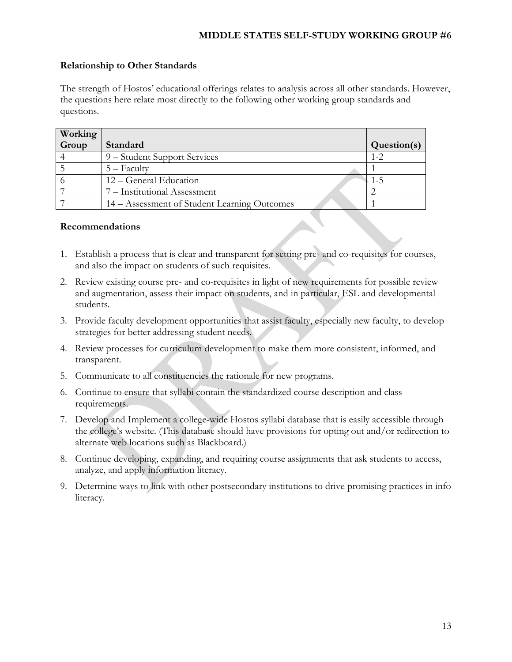### **Relationship to Other Standards**

The strength of Hostos' educational offerings relates to analysis across all other standards. However, the questions here relate most directly to the following other working group standards and questions.

| Working |                                              |             |
|---------|----------------------------------------------|-------------|
| Group   | Standard                                     | Question(s) |
|         | 9 – Student Support Services                 | $1 - 2.$    |
|         | $5 -$ Faculty                                |             |
|         | 12 – General Education                       | $1 - 5$     |
|         | 7 – Institutional Assessment                 |             |
|         | 14 – Assessment of Student Learning Outcomes |             |

#### **Recommendations**

- 1. Establish a process that is clear and transparent for setting pre- and co-requisites for courses, and also the impact on students of such requisites.
- 2. Review existing course pre- and co-requisites in light of new requirements for possible review and augmentation, assess their impact on students, and in particular, ESL and developmental students.
- 3. Provide faculty development opportunities that assist faculty, especially new faculty, to develop strategies for better addressing student needs.
- 4. Review processes for curriculum development to make them more consistent, informed, and transparent.
- 5. Communicate to all constituencies the rationale for new programs.
- 6. Continue to ensure that syllabi contain the standardized course description and class requirements.
- 7. Develop and Implement a college-wide Hostos syllabi database that is easily accessible through the college's website. (This database should have provisions for opting out and/or redirection to alternate web locations such as Blackboard.)
- 8. Continue developing, expanding, and requiring course assignments that ask students to access, analyze, and apply information literacy.
- 9. Determine ways to link with other postsecondary institutions to drive promising practices in info literacy.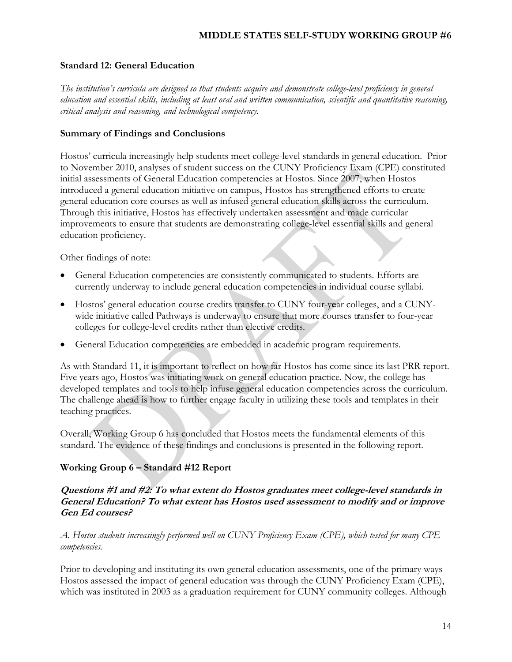### **Standard 12: General Education**

*The institution's curricula are designed so that students acquire and demonstrate college-level proficiency in general education and essential skills, including at least oral and written communication, scientific and quantitative reasoning, critical analysis and reasoning, and technological competency.* 

### **Summary of Findings and Conclusions**

Hostos' curricula increasingly help students meet college-level standards in general education. Prior to November 2010, analyses of student success on the CUNY Proficiency Exam (CPE) constituted initial assessments of General Education competencies at Hostos. Since 2007, when Hostos introduced a general education initiative on campus, Hostos has strengthened efforts to create general education core courses as well as infused general education skills across the curriculum. Through this initiative, Hostos has effectively undertaken assessment and made curricular improvements to ensure that students are demonstrating college-level essential skills and general education proficiency.

Other findings of note:

- General Education competencies are consistently communicated to students. Efforts are currently underway to include general education competencies in individual course syllabi.
- Hostos' general education course credits transfer to CUNY four-y**e**ar colleges, and a CUNYwide initiative called Pathways is underway to ensure that more courses t**r**ansf**e**r to four-year colleges for college-level credits rather than elective credits.
- General Education competencies are embedded in academic program requirements.

As with Standard 11, it is important to reflect on how far Hostos has come since its last PRR report. Five years ago, Hostos was initiating work on general education practice. Now, the college has developed templates and tools to help infuse general education competencies across the curriculum. The challenge ahead is how to further engage faculty in utilizing these tools and templates in their teaching practices.

Overall, Working Group 6 has concluded that Hostos meets the fundamental elements of this standard. The evidence of these findings and conclusions is presented in the following report.

### **Working Group 6 – Standard #12 Report**

### **Questions #1 and #2: To what extent do Hostos graduates meet college-level standards in General Education? To what extent has Hostos used assessment to modify and or improve Gen Ed courses?**

*A. Hostos students increasingly performed well on CUNY Proficiency Exam (CPE), which tested for many CPE competencies.* 

Prior to developing and instituting its own general education assessments, one of the primary ways Hostos assessed the impact of general education was through the CUNY Proficiency Exam (CPE), which was instituted in 2003 as a graduation requirement for CUNY community colleges. Although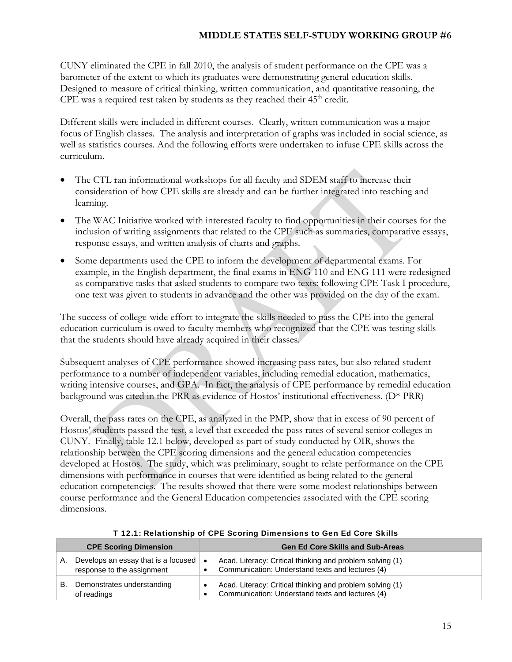CUNY eliminated the CPE in fall 2010, the analysis of student performance on the CPE was a barometer of the extent to which its graduates were demonstrating general education skills. Designed to measure of critical thinking, written communication, and quantitative reasoning, the CPE was a required test taken by students as they reached their  $45<sup>th</sup>$  credit.

Different skills were included in different courses. Clearly, written communication was a major focus of English classes. The analysis and interpretation of graphs was included in social science, as well as statistics courses. And the following efforts were undertaken to infuse CPE skills across the curriculum.

- The CTL ran informational workshops for all faculty and SDEM staff to increase their consideration of how CPE skills are already and can be further integrated into teaching and learning.
- The WAC Initiative worked with interested faculty to find opportunities in their courses for the inclusion of writing assignments that related to the CPE such as summaries, comparative essays, response essays, and written analysis of charts and graphs.
- Some departments used the CPE to inform the development of departmental exams. For example, in the English department, the final exams in ENG 110 and ENG 111 were redesigned as comparative tasks that asked students to compare two texts: following CPE Task I procedure, one text was given to students in advance and the other was provided on the day of the exam.

The success of college-wide effort to integrate the skills needed to pass the CPE into the general education curriculum is owed to faculty members who recognized that the CPE was testing skills that the students should have already acquired in their classes.

Subsequent analyses of CPE performance showed increasing pass rates, but also related student performance to a number of independent variables, including remedial education, mathematics, writing intensive courses, and GPA. In fact, the analysis of CPE performance by remedial education background was cited in the PRR as evidence of Hostos' institutional effectiveness. (D\* PRR)

Overall, the pass rates on the CPE, as analyzed in the PMP, show that in excess of 90 percent of Hostos' students passed the test, a level that exceeded the pass rates of several senior colleges in CUNY. Finally, table 12.1 below, developed as part of study conducted by OIR, shows the relationship between the CPE scoring dimensions and the general education competencies developed at Hostos. The study, which was preliminary, sought to relate performance on the CPE dimensions with performance in courses that were identified as being related to the general education competencies. The results showed that there were some modest relationships between course performance and the General Education competencies associated with the CPE scoring dimensions.

|    | <b>CPE Scoring Dimension</b>                                      | <b>Gen Ed Core Skills and Sub-Areas</b>                                                                                                 |
|----|-------------------------------------------------------------------|-----------------------------------------------------------------------------------------------------------------------------------------|
| А. | Develops an essay that is a focused<br>response to the assignment | Acad. Literacy: Critical thinking and problem solving (1)<br>$\bullet$<br>Communication: Understand texts and lectures (4)<br>$\bullet$ |
| В. | Demonstrates understanding<br>of readings                         | Acad. Literacy: Critical thinking and problem solving (1)<br>Communication: Understand texts and lectures (4)                           |

T 12.1: Relationship of CPE Scoring Dimensions to Gen Ed Core Skills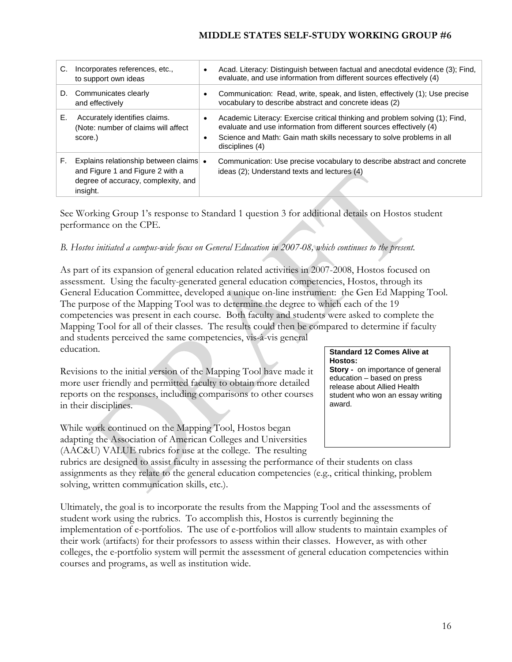| C. | Incorporates references, etc.,<br>to support own ideas                                                                        | ٠                      | Acad. Literacy: Distinguish between factual and anecdotal evidence (3); Find,<br>evaluate, and use information from different sources effectively (4)                                                                                           |
|----|-------------------------------------------------------------------------------------------------------------------------------|------------------------|-------------------------------------------------------------------------------------------------------------------------------------------------------------------------------------------------------------------------------------------------|
|    | D. Communicates clearly<br>and effectively                                                                                    |                        | Communication: Read, write, speak, and listen, effectively (1); Use precise<br>vocabulary to describe abstract and concrete ideas (2)                                                                                                           |
| Е. | Accurately identifies claims.<br>(Note: number of claims will affect<br>score.)                                               | $\bullet$<br>$\bullet$ | Academic Literacy: Exercise critical thinking and problem solving (1); Find,<br>evaluate and use information from different sources effectively (4)<br>Science and Math: Gain math skills necessary to solve problems in all<br>disciplines (4) |
| F. | Explains relationship between claims •<br>and Figure 1 and Figure 2 with a<br>degree of accuracy, complexity, and<br>insight. |                        | Communication: Use precise vocabulary to describe abstract and concrete<br>ideas (2); Understand texts and lectures (4)                                                                                                                         |

See Working Group 1's response to Standard 1 question 3 for additional details on Hostos student performance on the CPE.

# *B. Hostos initiated a campus-wide focus on General Education in 2007-08, which continues to the present.*

As part of its expansion of general education related activities in 2007-2008, Hostos focused on assessment. Using the faculty-generated general education competencies, Hostos, through its General Education Committee, developed a unique on-line instrument: the Gen Ed Mapping Tool. The purpose of the Mapping Tool was to determine the degree to which each of the 19 competencies was present in each course. Both faculty and students were asked to complete the Mapping Tool for all of their classes. The results could then be compared to determine if faculty and students perceived the same competencies, vis-à-vis general education. **Standard 12 Comes Alive at** 

Revisions to the initial version of the Mapping Tool have made it more user friendly and permitted faculty to obtain more detailed reports on the responses, including comparisons to other courses in their disciplines.

While work continued on the Mapping Tool, Hostos began adapting the Association of American Colleges and Universities (AAC&U) VALUE rubrics for use at the college. The resulting

#### **Hostos: Story -** on importance of general

education – based on press release about Allied Health student who won an essay writing award.

rubrics are designed to assist faculty in assessing the performance of their students on class assignments as they relate to the general education competencies (e.g., critical thinking, problem solving, written communication skills, etc.).

Ultimately, the goal is to incorporate the results from the Mapping Tool and the assessments of student work using the rubrics. To accomplish this, Hostos is currently beginning the implementation of e-portfolios. The use of e-portfolios will allow students to maintain examples of their work (artifacts) for their professors to assess within their classes. However, as with other colleges, the e-portfolio system will permit the assessment of general education competencies within courses and programs, as well as institution wide.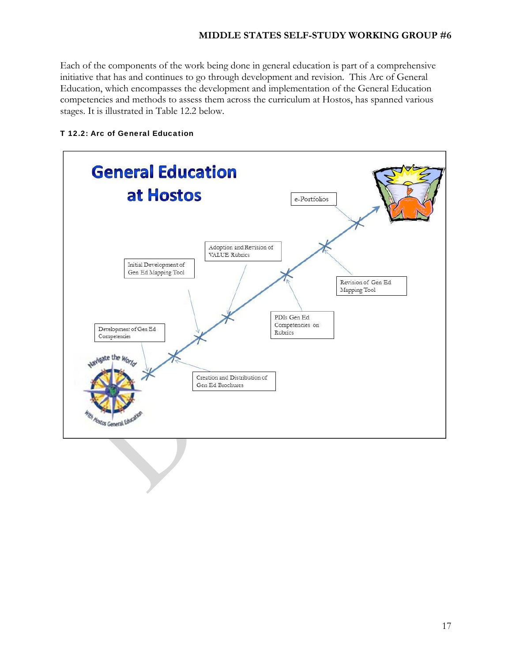Each of the components of the work being done in general education is part of a comprehensive initiative that has and continues to go through development and revision. This Arc of General Education, which encompasses the development and implementation of the General Education competencies and methods to assess them across the curriculum at Hostos, has spanned various stages. It is illustrated in Table 12.2 below.



### T 12.2: Arc of General Education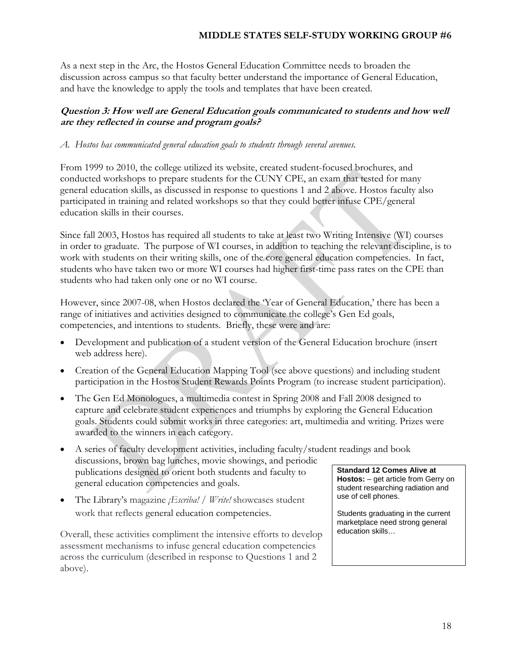As a next step in the Arc, the Hostos General Education Committee needs to broaden the discussion across campus so that faculty better understand the importance of General Education, and have the knowledge to apply the tools and templates that have been created.

# **Question 3: How well are General Education goals communicated to students and how well are they reflected in course and program goals?**

### *A. Hostos has communicated general education goals to students through several avenues.*

From 1999 to 2010, the college utilized its website, created student-focused brochures, and conducted workshops to prepare students for the CUNY CPE, an exam that tested for many general education skills, as discussed in response to questions 1 and 2 above. Hostos faculty also participated in training and related workshops so that they could better infuse CPE/general education skills in their courses.

Since fall 2003, Hostos has required all students to take at least two Writing Intensive (WI) courses in order to graduate. The purpose of WI courses, in addition to teaching the relevant discipline, is to work with students on their writing skills, one of the core general education competencies. In fact, students who have taken two or more WI courses had higher first-time pass rates on the CPE than students who had taken only one or no WI course.

However, since 2007-08, when Hostos declared the 'Year of General Education,' there has been a range of initiatives and activities designed to communicate the college's Gen Ed goals, competencies, and intentions to students. Briefly, these were and are:

- Development and publication of a student version of the General Education brochure (insert web address here).
- Creation of the General Education Mapping Tool (see above questions) and including student participation in the Hostos Student Rewards Points Program (to increase student participation).
- The Gen Ed Monologues, a multimedia contest in Spring 2008 and Fall 2008 designed to capture and celebrate student experiences and triumphs by exploring the General Education goals. Students could submit works in three categories: art, multimedia and writing. Prizes were awarded to the winners in each category.
- A series of faculty development activities, including faculty/student readings and book discussions, brown bag lunches, movie showings, and periodic publications designed to orient both students and faculty to general education competencies and goals.
- The Library's magazine *¡Escriba! / Write!* showcases student work that reflects general education competencies.

Overall, these activities compliment the intensive efforts to develop assessment mechanisms to infuse general education competencies across the curriculum (described in response to Questions 1 and 2 above).

**Standard 12 Comes Alive at Hostos:** – get article from Gerry on student researching radiation and use of cell phones.

Students graduating in the current marketplace need strong general education skills…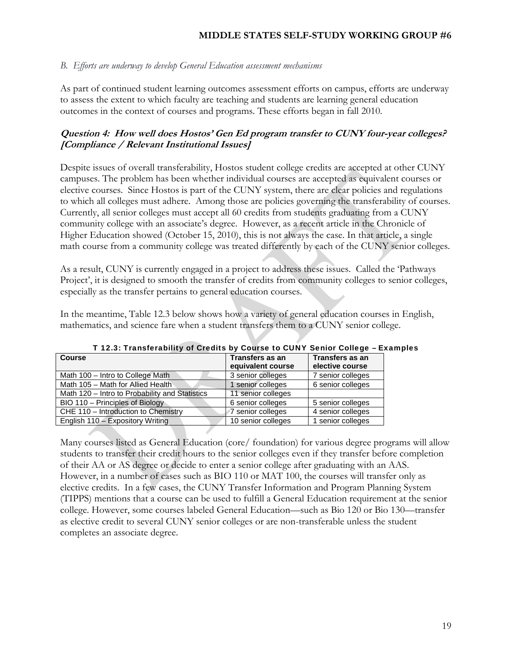#### *B. Efforts are underway to develop General Education assessment mechanisms*

As part of continued student learning outcomes assessment efforts on campus, efforts are underway to assess the extent to which faculty are teaching and students are learning general education outcomes in the context of courses and programs. These efforts began in fall 2010.

# **Question 4: How well does Hostos' Gen Ed program transfer to CUNY four-year colleges? [Compliance / Relevant Institutional Issues]**

Despite issues of overall transferability, Hostos student college credits are accepted at other CUNY campuses. The problem has been whether individual courses are accepted as equivalent courses or elective courses. Since Hostos is part of the CUNY system, there are clear policies and regulations to which all colleges must adhere. Among those are policies governing the transferability of courses. Currently, all senior colleges must accept all 60 credits from students graduating from a CUNY community college with an associate's degree. However, as a recent article in the Chronicle of Higher Education showed (October 15, 2010), this is not always the case. In that article, a single math course from a community college was treated differently by each of the CUNY senior colleges.

As a result, CUNY is currently engaged in a project to address these issues. Called the 'Pathways Project', it is designed to smooth the transfer of credits from community colleges to senior colleges, especially as the transfer pertains to general education courses.

In the meantime, Table 12.3 below shows how a variety of general education courses in English, mathematics, and science fare when a student transfers them to a CUNY senior college.

| <b>Course</b>                                  | Transfers as an    | Transfers as an   |
|------------------------------------------------|--------------------|-------------------|
|                                                | equivalent course  | elective course   |
| Math 100 - Intro to College Math               | 3 senior colleges  | 7 senior colleges |
| Math 105 - Math for Allied Health              | 1 senior colleges  | 6 senior colleges |
| Math 120 – Intro to Probability and Statistics | 11 senior colleges |                   |
| BIO 110 – Principles of Biology                | 6 senior colleges  | 5 senior colleges |
| CHE 110 - Introduction to Chemistry            | 7 senior colleges  | 4 senior colleges |
| English 110 - Expository Writing               | 10 senior colleges | 1 senior colleges |

T 12.3: Transferability of Credits by Course to CUNY Senior College – Examples

Many courses listed as General Education (core/ foundation) for various degree programs will allow students to transfer their credit hours to the senior colleges even if they transfer before completion of their AA or AS degree or decide to enter a senior college after graduating with an AAS. However, in a number of cases such as BIO 110 or MAT 100, the courses will transfer only as elective credits. In a few cases, the CUNY Transfer Information and Program Planning System (TIPPS) mentions that a course can be used to fulfill a General Education requirement at the senior college. However, some courses labeled General Education—such as Bio 120 or Bio 130—transfer as elective credit to several CUNY senior colleges or are non-transferable unless the student completes an associate degree.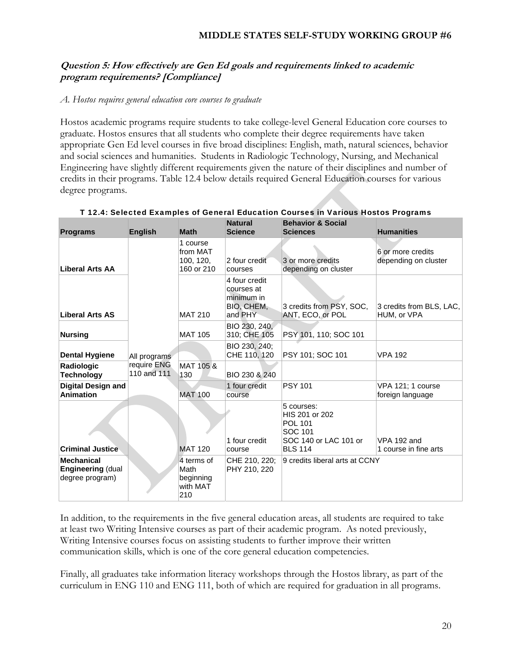# **Question 5: How effectively are Gen Ed goals and requirements linked to academic program requirements? [Compliance]**

#### *A. Hostos requires general education core courses to graduate*

Hostos academic programs require students to take college-level General Education core courses to graduate. Hostos ensures that all students who complete their degree requirements have taken appropriate Gen Ed level courses in five broad disciplines: English, math, natural sciences, behavior and social sciences and humanities. Students in Radiologic Technology, Nursing, and Mechanical Engineering have slightly different requirements given the nature of their disciplines and number of credits in their programs. Table 12.4 below details required General Education courses for various degree programs.

| <b>Programs</b>                                                  | <b>English</b>                             | <b>Math</b>                                        | <b>Natural</b><br><b>Science</b>                                   | <b>Behavior &amp; Social</b><br><b>Sciences</b>                                                      | <b>Humanities</b>                         |
|------------------------------------------------------------------|--------------------------------------------|----------------------------------------------------|--------------------------------------------------------------------|------------------------------------------------------------------------------------------------------|-------------------------------------------|
| <b>Liberal Arts AA</b>                                           | All programs<br>require ENG<br>110 and 111 | 1 course<br>from MAT<br>100, 120,<br>160 or 210    | 2 four credit<br>courses                                           | 3 or more credits<br>depending on cluster                                                            | 6 or more credits<br>depending on cluster |
| <b>Liberal Arts AS</b>                                           |                                            | <b>MAT 210</b>                                     | 4 four credit<br>courses at<br>minimum in<br>BIO, CHEM,<br>and PHY | 3 credits from PSY, SOC,<br>ANT, ECO, or POL                                                         | 3 credits from BLS, LAC,<br>HUM, or VPA   |
| <b>Nursing</b>                                                   |                                            | <b>MAT 105</b>                                     | BIO 230, 240,<br>310; CHE 105                                      | PSY 101, 110; SOC 101                                                                                |                                           |
| <b>Dental Hygiene</b>                                            |                                            |                                                    | BIO 230, 240;<br>CHE 110, 120                                      | PSY 101; SOC 101                                                                                     | <b>VPA 192</b>                            |
| Radiologic<br><b>Technology</b>                                  |                                            | MAT 105 &<br>130                                   | BIO 230 & 240                                                      |                                                                                                      |                                           |
| Digital Design and<br><b>Animation</b>                           |                                            | <b>MAT 100</b>                                     | 1 four credit<br>course                                            | <b>PSY 101</b>                                                                                       | VPA 121; 1 course<br>foreign language     |
| <b>Criminal Justice</b>                                          |                                            | <b>MAT 120</b>                                     | 1 four credit<br>course                                            | 5 courses:<br>HIS 201 or 202<br><b>POL 101</b><br>SOC 101<br>SOC 140 or LAC 101 or<br><b>BLS 114</b> | VPA 192 and<br>1 course in fine arts      |
| <b>Mechanical</b><br><b>Engineering (dual</b><br>degree program) |                                            | 4 terms of<br>Math<br>beginning<br>with MAT<br>210 | CHE 210, 220;<br>PHY 210, 220                                      | 9 credits liberal arts at CCNY                                                                       |                                           |

#### T 12.4: Selected Examples of General Education Courses in Various Hostos Programs

In addition, to the requirements in the five general education areas, all students are required to take at least two Writing Intensive courses as part of their academic program. As noted previously, Writing Intensive courses focus on assisting students to further improve their written communication skills, which is one of the core general education competencies.

Finally, all graduates take information literacy workshops through the Hostos library, as part of the curriculum in ENG 110 and ENG 111, both of which are required for graduation in all programs.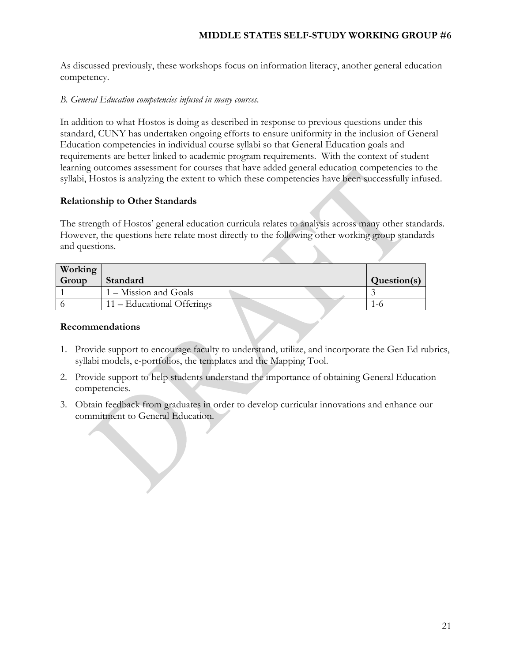As discussed previously, these workshops focus on information literacy, another general education competency.

#### *B. General Education competencies infused in many courses.*

In addition to what Hostos is doing as described in response to previous questions under this standard, CUNY has undertaken ongoing efforts to ensure uniformity in the inclusion of General Education competencies in individual course syllabi so that General Education goals and requirements are better linked to academic program requirements. With the context of student learning outcomes assessment for courses that have added general education competencies to the syllabi, Hostos is analyzing the extent to which these competencies have been successfully infused.

#### **Relationship to Other Standards**

The strength of Hostos' general education curricula relates to analysis across many other standards. However, the questions here relate most directly to the following other working group standards and questions.

| Working |                            |             |
|---------|----------------------------|-------------|
| Group   | Standard                   | Question(s) |
|         | $1 -$ Mission and Goals    |             |
|         | 11 – Educational Offerings |             |

#### **Recommendations**

- 1. Provide support to encourage faculty to understand, utilize, and incorporate the Gen Ed rubrics, syllabi models, e-portfolios, the templates and the Mapping Tool.
- 2. Provide support to help students understand the importance of obtaining General Education competencies.
- 3. Obtain feedback from graduates in order to develop curricular innovations and enhance our commitment to General Education.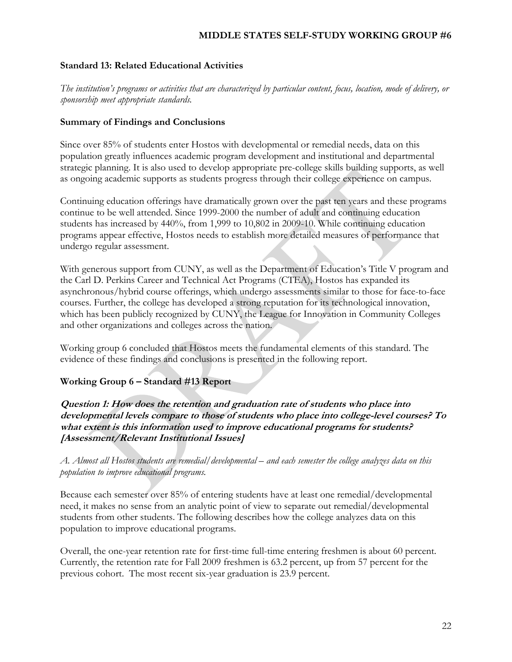#### **Standard 13: Related Educational Activities**

*The institution's programs or activities that are characterized by particular content, focus, location, mode of delivery, or sponsorship meet appropriate standards.* 

#### **Summary of Findings and Conclusions**

Since over 85% of students enter Hostos with developmental or remedial needs, data on this population greatly influences academic program development and institutional and departmental strategic planning. It is also used to develop appropriate pre-college skills building supports, as well as ongoing academic supports as students progress through their college experience on campus.

Continuing education offerings have dramatically grown over the past ten years and these programs continue to be well attended. Since 1999-2000 the number of adult and continuing education students has increased by 440%, from 1,999 to 10,802 in 2009-10. While continuing education programs appear effective, Hostos needs to establish more detailed measures of performance that undergo regular assessment.

With generous support from CUNY, as well as the Department of Education's Title V program and the Carl D. Perkins Career and Technical Act Programs (CTEA), Hostos has expanded its asynchronous/hybrid course offerings, which undergo assessments similar to those for face-to-face courses. Further, the college has developed a strong reputation for its technological innovation, which has been publicly recognized by CUNY, the League for Innovation in Community Colleges and other organizations and colleges across the nation.

Working group 6 concluded that Hostos meets the fundamental elements of this standard. The evidence of these findings and conclusions is presented in the following report.

# **Working Group 6 – Standard #13 Report**

**Question 1: How does the retention and graduation rate of students who place into developmental levels compare to those of students who place into college-level courses? To what extent is this information used to improve educational programs for students? [Assessment/Relevant Institutional Issues]** 

*A. Almost all Hostos students are remedial/developmental – and each semester the college analyzes data on this population to improve educational programs.* 

Because each semester over 85% of entering students have at least one remedial/developmental need, it makes no sense from an analytic point of view to separate out remedial/developmental students from other students. The following describes how the college analyzes data on this population to improve educational programs.

Overall, the one-year retention rate for first-time full-time entering freshmen is about 60 percent. Currently, the retention rate for Fall 2009 freshmen is 63.2 percent, up from 57 percent for the previous cohort. The most recent six-year graduation is 23.9 percent.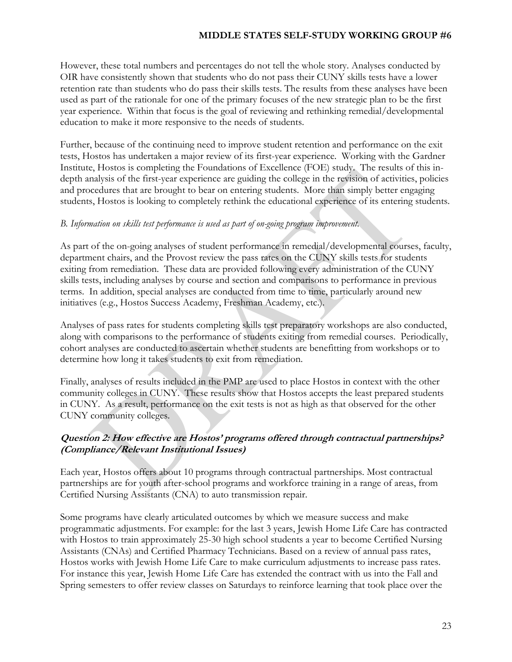However, these total numbers and percentages do not tell the whole story. Analyses conducted by OIR have consistently shown that students who do not pass their CUNY skills tests have a lower retention rate than students who do pass their skills tests. The results from these analyses have been used as part of the rationale for one of the primary focuses of the new strategic plan to be the first year experience. Within that focus is the goal of reviewing and rethinking remedial/developmental education to make it more responsive to the needs of students.

Further, because of the continuing need to improve student retention and performance on the exit tests, Hostos has undertaken a major review of its first-year experience. Working with the Gardner Institute, Hostos is completing the Foundations of Excellence (FOE) study. The results of this indepth analysis of the first-year experience are guiding the college in the revision of activities, policies and procedures that are brought to bear on entering students. More than simply better engaging students, Hostos is looking to completely rethink the educational experience of its entering students.

### *B. Information on skills test performance is used as part of on-going program improvement.*

As part of the on-going analyses of student performance in remedial/developmental courses, faculty, department chairs, and the Provost review the pass rates on the CUNY skills tests for students exiting from remediation. These data are provided following every administration of the CUNY skills tests, including analyses by course and section and comparisons to performance in previous terms. In addition, special analyses are conducted from time to time, particularly around new initiatives (e.g., Hostos Success Academy, Freshman Academy, etc.).

Analyses of pass rates for students completing skills test preparatory workshops are also conducted, along with comparisons to the performance of students exiting from remedial courses. Periodically, cohort analyses are conducted to ascertain whether students are benefitting from workshops or to determine how long it takes students to exit from remediation.

Finally, analyses of results included in the PMP are used to place Hostos in context with the other community colleges in CUNY. These results show that Hostos accepts the least prepared students in CUNY. As a result, performance on the exit tests is not as high as that observed for the other CUNY community colleges.

# **Question 2: How effective are Hostos' programs offered through contractual partnerships? (Compliance/Relevant Institutional Issues)**

Each year, Hostos offers about 10 programs through contractual partnerships. Most contractual partnerships are for youth after-school programs and workforce training in a range of areas, from Certified Nursing Assistants (CNA) to auto transmission repair.

Some programs have clearly articulated outcomes by which we measure success and make programmatic adjustments. For example: for the last 3 years, Jewish Home Life Care has contracted with Hostos to train approximately 25-30 high school students a year to become Certified Nursing Assistants (CNAs) and Certified Pharmacy Technicians. Based on a review of annual pass rates, Hostos works with Jewish Home Life Care to make curriculum adjustments to increase pass rates. For instance this year, Jewish Home Life Care has extended the contract with us into the Fall and Spring semesters to offer review classes on Saturdays to reinforce learning that took place over the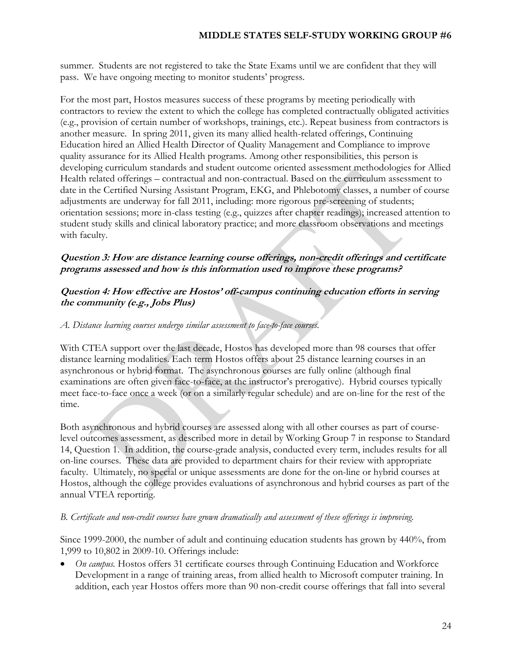summer. Students are not registered to take the State Exams until we are confident that they will pass. We have ongoing meeting to monitor students' progress.

For the most part, Hostos measures success of these programs by meeting periodically with contractors to review the extent to which the college has completed contractually obligated activities (e.g., provision of certain number of workshops, trainings, etc.). Repeat business from contractors is another measure. In spring 2011, given its many allied health-related offerings, Continuing Education hired an Allied Health Director of Quality Management and Compliance to improve quality assurance for its Allied Health programs. Among other responsibilities, this person is developing curriculum standards and student outcome oriented assessment methodologies for Allied Health related offerings – contractual and non-contractual. Based on the curriculum assessment to date in the Certified Nursing Assistant Program, EKG, and Phlebotomy classes, a number of course adjustments are underway for fall 2011, including: more rigorous pre-screening of students; orientation sessions; more in-class testing (e.g., quizzes after chapter readings); increased attention to student study skills and clinical laboratory practice; and more classroom observations and meetings with faculty.

# **Question 3: How are distance learning course offerings, non-credit offerings and certificate programs assessed and how is this information used to improve these programs?**

# **Question 4: How effective are Hostos' off-campus continuing education efforts in serving the community (e.g., Jobs Plus)**

### *A. Distance learning courses undergo similar assessment to face-to-face courses.*

With CTEA support over the last decade, Hostos has developed more than 98 courses that offer distance learning modalities. Each term Hostos offers about 25 distance learning courses in an asynchronous or hybrid format. The asynchronous courses are fully online (although final examinations are often given face-to-face, at the instructor's prerogative). Hybrid courses typically meet face-to-face once a week (or on a similarly regular schedule) and are on-line for the rest of the time.

Both asynchronous and hybrid courses are assessed along with all other courses as part of courselevel outcomes assessment, as described more in detail by Working Group 7 in response to Standard 14, Question 1. In addition, the course-grade analysis, conducted every term, includes results for all on-line courses. These data are provided to department chairs for their review with appropriate faculty. Ultimately, no special or unique assessments are done for the on-line or hybrid courses at Hostos, although the college provides evaluations of asynchronous and hybrid courses as part of the annual VTEA reporting.

### *B. Certificate and non-credit courses have grown dramatically and assessment of these offerings is improving.*

Since 1999-2000, the number of adult and continuing education students has grown by 440%, from 1,999 to 10,802 in 2009-10. Offerings include:

 *On campus.* Hostos offers 31 certificate courses through Continuing Education and Workforce Development in a range of training areas, from allied health to Microsoft computer training. In addition, each year Hostos offers more than 90 non-credit course offerings that fall into several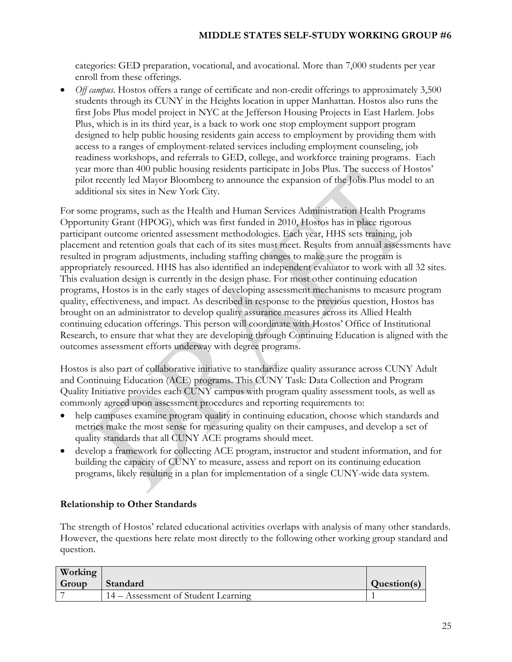categories: GED preparation, vocational, and avocational. More than 7,000 students per year enroll from these offerings.

 *Off campus.* Hostos offers a range of certificate and non-credit offerings to approximately 3,500 students through its CUNY in the Heights location in upper Manhattan. Hostos also runs the first Jobs Plus model project in NYC at the Jefferson Housing Projects in East Harlem. Jobs Plus, which is in its third year, is a back to work one stop employment support program designed to help public housing residents gain access to employment by providing them with access to a ranges of employment-related services including employment counseling, job readiness workshops, and referrals to GED, college, and workforce training programs. Each year more than 400 public housing residents participate in Jobs Plus. The success of Hostos' pilot recently led Mayor Bloomberg to announce the expansion of the Jobs Plus model to an additional six sites in New York City.

For some programs, such as the Health and Human Services Administration Health Programs Opportunity Grant (HPOG), which was first funded in 2010, Hostos has in place rigorous participant outcome oriented assessment methodologies. Each year, HHS sets training, job placement and retention goals that each of its sites must meet. Results from annual assessments have resulted in program adjustments, including staffing changes to make sure the program is appropriately resourced. HHS has also identified an independent evaluator to work with all 32 sites. This evaluation design is currently in the design phase. For most other continuing education programs, Hostos is in the early stages of developing assessment mechanisms to measure program quality, effectiveness, and impact. As described in response to the previous question, Hostos has brought on an administrator to develop quality assurance measures across its Allied Health continuing education offerings. This person will coordinate with Hostos' Office of Institutional Research, to ensure that what they are developing through Continuing Education is aligned with the outcomes assessment efforts underway with degree programs.

Hostos is also part of collaborative initiative to standardize quality assurance across CUNY Adult and Continuing Education (ACE) programs. This CUNY Task: Data Collection and Program Quality Initiative provides each CUNY campus with program quality assessment tools, as well as commonly agreed upon assessment procedures and reporting requirements to:

- help campuses examine program quality in continuing education, choose which standards and metrics make the most sense for measuring quality on their campuses, and develop a set of quality standards that all CUNY ACE programs should meet.
- develop a framework for collecting ACE program, instructor and student information, and for building the capacity of CUNY to measure, assess and report on its continuing education programs, likely resulting in a plan for implementation of a single CUNY-wide data system.

# **Relationship to Other Standards**

The strength of Hostos' related educational activities overlaps with analysis of many other standards. However, the questions here relate most directly to the following other working group standard and question.

| Working |                                     |             |
|---------|-------------------------------------|-------------|
| Group   | Standard                            | Question(s) |
|         | 14 – Assessment of Student Learning |             |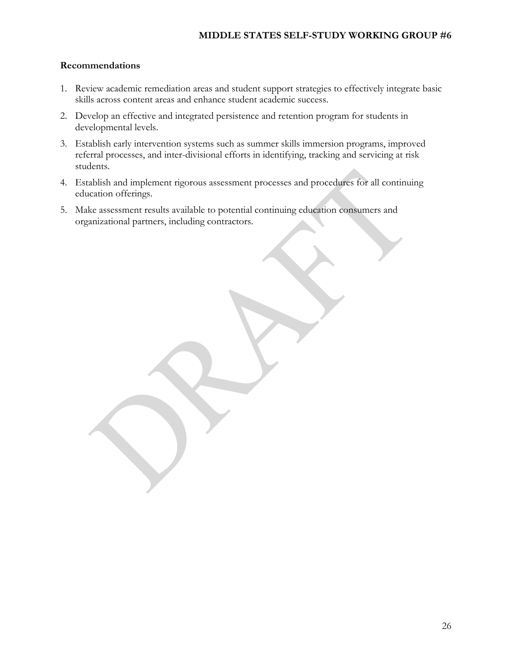#### **Recommendations**

- 1. Review academic remediation areas and student support strategies to effectively integrate basic skills across content areas and enhance student academic success.
- 2. Develop an effective and integrated persistence and retention program for students in developmental levels.
- 3. Establish early intervention systems such as summer skills immersion programs, improved referral processes, and inter-divisional efforts in identifying, tracking and servicing at risk students.
- 4. Establish and implement rigorous assessment processes and procedures for all continuing education offerings.
- 5. Make assessment results available to potential continuing education consumers and organizational partners, including contractors.

26